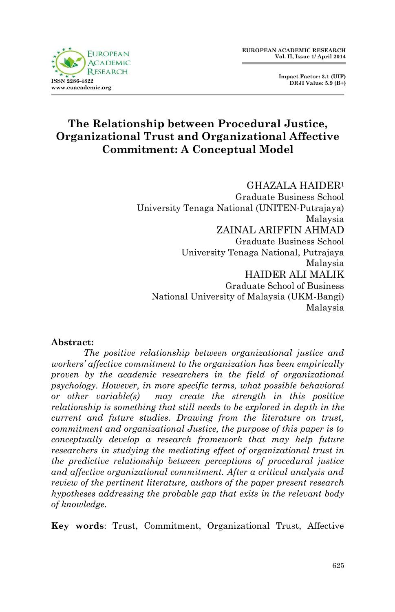

 **Impact Factor: 3.1 (UIF) DRJI Value: 5.9 (B+)**

## **The Relationship between Procedural Justice, Organizational Trust and Organizational Affective Commitment: A Conceptual Model**

#### GHAZALA HAIDER<sup>1</sup>

Graduate Business School University Tenaga National (UNITEN-Putrajaya) Malaysia ZAINAL ARIFFIN AHMAD Graduate Business School University Tenaga National, Putrajaya Malaysia HAIDER ALI MALIK Graduate School of Business National University of Malaysia (UKM-Bangi) Malaysia

#### **Abstract:**

*The positive relationship between organizational justice and workers' affective commitment to the organization has been empirically proven by the academic researchers in the field of organizational psychology. However, in more specific terms, what possible behavioral or other variable(s) may create the strength in this positive relationship is something that still needs to be explored in depth in the current and future studies. Drawing from the literature on trust, commitment and organizational Justice, the purpose of this paper is to conceptually develop a research framework that may help future researchers in studying the mediating effect of organizational trust in the predictive relationship between perceptions of procedural justice and affective organizational commitment. After a critical analysis and review of the pertinent literature, authors of the paper present research hypotheses addressing the probable gap that exits in the relevant body of knowledge.*

**Key words**: Trust, Commitment, Organizational Trust, Affective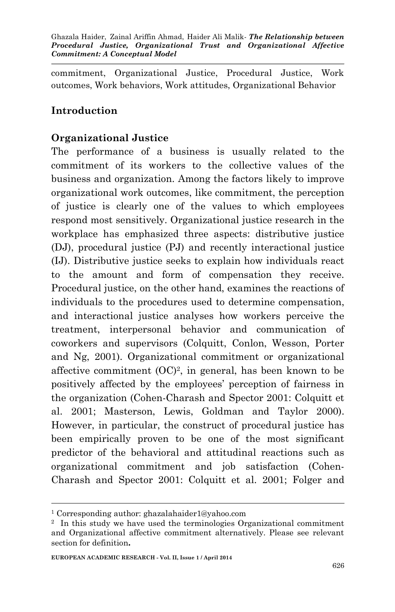commitment, Organizational Justice, Procedural Justice, Work outcomes, Work behaviors, Work attitudes, Organizational Behavior

## **Introduction**

### **Organizational Justice**

The performance of a business is usually related to the commitment of its workers to the collective values of the business and organization. Among the factors likely to improve organizational work outcomes, like commitment, the perception of justice is clearly one of the values to which employees respond most sensitively. Organizational justice research in the workplace has emphasized three aspects: distributive justice (DJ), procedural justice (PJ) and recently interactional justice (IJ). Distributive justice seeks to explain how individuals react to the amount and form of compensation they receive. Procedural justice, on the other hand, examines the reactions of individuals to the procedures used to determine compensation, and interactional justice analyses how workers perceive the treatment, interpersonal behavior and communication of coworkers and supervisors (Colquitt, Conlon, Wesson, Porter and Ng, 2001). Organizational commitment or organizational affective commitment  $(OC)^2$ , in general, has been known to be positively affected by the employees' perception of fairness in the organization (Cohen-Charash and Spector 2001: Colquitt et al. 2001; Masterson, Lewis, Goldman and Taylor 2000). However, in particular, the construct of procedural justice has been empirically proven to be one of the most significant predictor of the behavioral and attitudinal reactions such as organizational commitment and job satisfaction (Cohen-Charash and Spector 2001: Colquitt et al. 2001; Folger and

**.** 

<sup>1</sup> Corresponding author: ghazalahaider1@yahoo.com

<sup>2</sup> In this study we have used the terminologies Organizational commitment and Organizational affective commitment alternatively. Please see relevant section for definition**.**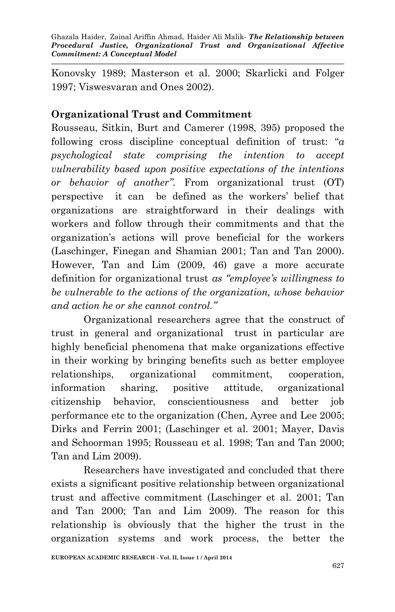Konovsky 1989; Masterson et al. 2000; Skarlicki and Folger 1997; Viswesvaran and Ones 2002).

## **Organizational Trust and Commitment**

Rousseau, Sitkin, Burt and Camerer (1998, 395) proposed the following cross discipline conceptual definition of trust: "*a psychological state comprising the intention to accept vulnerability based upon positive expectations of the intentions or behavior of another".* From organizational trust (OT) perspective it can be defined as the workers' belief that organizations are straightforward in their dealings with workers and follow through their commitments and that the organization's actions will prove beneficial for the workers (Laschinger, Finegan and Shamian 2001; Tan and Tan 2000). However, Tan and Lim (2009, 46) gave a more accurate definition for organizational trust *as "employee's willingness to be vulnerable to the actions of the organization, whose behavior and action he or she cannot control."*

Organizational researchers agree that the construct of trust in general and organizational trust in particular are highly beneficial phenomena that make organizations effective in their working by bringing benefits such as better employee relationships, organizational commitment, cooperation, information sharing, positive attitude, organizational citizenship behavior, conscientiousness and better job performance etc to the organization (Chen, Ayree and Lee 2005; Dirks and Ferrin 2001; (Laschinger et al. 2001; Mayer, Davis and Schoorman 1995; Rousseau et al. 1998; Tan and Tan 2000; Tan and Lim 2009).

Researchers have investigated and concluded that there exists a significant positive relationship between organizational trust and affective commitment (Laschinger et al. 2001; Tan and Tan 2000; Tan and Lim 2009). The reason for this relationship is obviously that the higher the trust in the organization systems and work process, the better the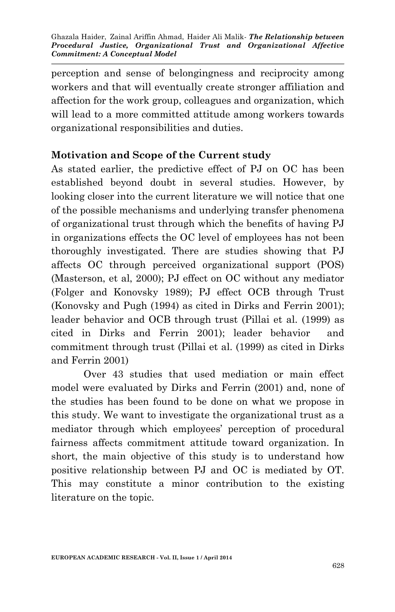perception and sense of belongingness and reciprocity among workers and that will eventually create stronger affiliation and affection for the work group, colleagues and organization, which will lead to a more committed attitude among workers towards organizational responsibilities and duties.

### **Motivation and Scope of the Current study**

As stated earlier, the predictive effect of PJ on OC has been established beyond doubt in several studies. However, by looking closer into the current literature we will notice that one of the possible mechanisms and underlying transfer phenomena of organizational trust through which the benefits of having PJ in organizations effects the OC level of employees has not been thoroughly investigated. There are studies showing that PJ affects OC through perceived organizational support (POS) (Masterson, et al, 2000); PJ effect on OC without any mediator (Folger and Konovsky 1989); PJ effect OCB through Trust (Konovsky and Pugh (1994) as cited in Dirks and Ferrin 2001); leader behavior and OCB through trust (Pillai et al. (1999) as cited in Dirks and Ferrin 2001); leader behavior and commitment through trust (Pillai et al. (1999) as cited in Dirks and Ferrin 2001)

Over 43 studies that used mediation or main effect model were evaluated by Dirks and Ferrin (2001) and, none of the studies has been found to be done on what we propose in this study. We want to investigate the organizational trust as a mediator through which employees' perception of procedural fairness affects commitment attitude toward organization. In short, the main objective of this study is to understand how positive relationship between PJ and OC is mediated by OT. This may constitute a minor contribution to the existing literature on the topic.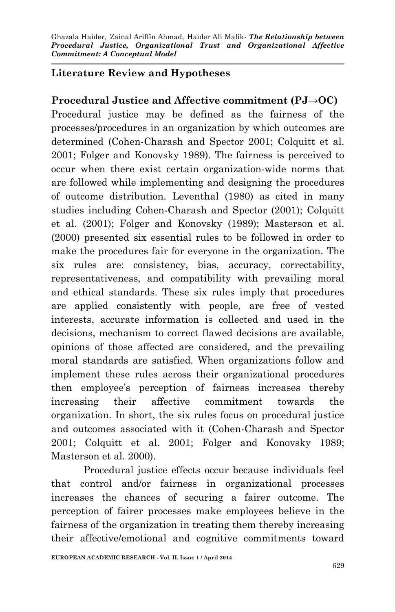### **Literature Review and Hypotheses**

**Procedural Justice and Affective commitment (PJ→OC)** Procedural justice may be defined as the fairness of the processes/procedures in an organization by which outcomes are determined (Cohen-Charash and Spector 2001; Colquitt et al. 2001; Folger and Konovsky 1989). The fairness is perceived to occur when there exist certain organization-wide norms that are followed while implementing and designing the procedures of outcome distribution. Leventhal (1980) as cited in many studies including Cohen-Charash and Spector (2001); Colquitt et al. (2001); Folger and Konovsky (1989); Masterson et al. (2000) presented six essential rules to be followed in order to make the procedures fair for everyone in the organization. The six rules are: consistency, bias, accuracy, correctability, representativeness, and compatibility with prevailing moral and ethical standards. These six rules imply that procedures are applied consistently with people, are free of vested interests, accurate information is collected and used in the decisions, mechanism to correct flawed decisions are available, opinions of those affected are considered, and the prevailing moral standards are satisfied. When organizations follow and implement these rules across their organizational procedures then employee's perception of fairness increases thereby increasing their affective commitment towards the organization. In short, the six rules focus on procedural justice and outcomes associated with it (Cohen-Charash and Spector 2001; Colquitt et al. 2001; Folger and Konovsky 1989; Masterson et al. 2000).

Procedural justice effects occur because individuals feel that control and/or fairness in organizational processes increases the chances of securing a fairer outcome. The perception of fairer processes make employees believe in the fairness of the organization in treating them thereby increasing their affective/emotional and cognitive commitments toward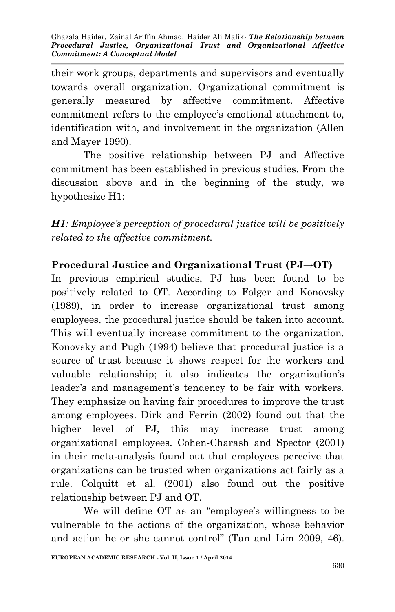their work groups, departments and supervisors and eventually towards overall organization. Organizational commitment is generally measured by affective commitment. Affective commitment refers to the employee's emotional attachment to, identification with, and involvement in the organization (Allen and Mayer 1990).

The positive relationship between PJ and Affective commitment has been established in previous studies. From the discussion above and in the beginning of the study, we hypothesize H1:

*H1: Employee's perception of procedural justice will be positively related to the affective commitment.*

## **Procedural Justice and Organizational Trust (PJ→OT)**

In previous empirical studies, PJ has been found to be positively related to OT. According to Folger and Konovsky (1989), in order to increase organizational trust among employees, the procedural justice should be taken into account. This will eventually increase commitment to the organization. Konovsky and Pugh (1994) believe that procedural justice is a source of trust because it shows respect for the workers and valuable relationship; it also indicates the organization's leader's and management's tendency to be fair with workers. They emphasize on having fair procedures to improve the trust among employees. Dirk and Ferrin (2002) found out that the higher level of PJ, this may increase trust among organizational employees. Cohen-Charash and Spector (2001) in their meta-analysis found out that employees perceive that organizations can be trusted when organizations act fairly as a rule. Colquitt et al. (2001) also found out the positive relationship between PJ and OT.

We will define OT as an "employee's willingness to be vulnerable to the actions of the organization, whose behavior and action he or she cannot control" (Tan and Lim 2009, 46).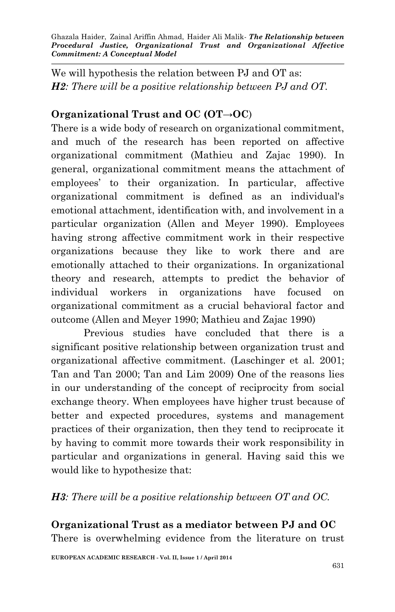Ghazala Haider, Zainal Ariffin Ahmad, Haider Ali Malik*- The Relationship between Procedural Justice, Organizational Trust and Organizational Affective Commitment: A Conceptual Model*

We will hypothesis the relation between PJ and OT as: *H2: There will be a positive relationship between PJ and OT.*

## **Organizational Trust and OC (OT→OC**)

There is a wide body of research on organizational commitment, and much of the research has been reported on affective organizational commitment (Mathieu and Zajac 1990). In general, organizational commitment means the attachment of employees' to their organization. In particular, affective organizational commitment is defined as an individual's emotional attachment, identification with, and involvement in a particular organization (Allen and Meyer 1990). Employees having strong affective commitment work in their respective organizations because they like to work there and are emotionally attached to their organizations. In organizational theory and research, attempts to predict the behavior of individual workers in organizations have focused on organizational commitment as a crucial behavioral factor and outcome (Allen and Meyer 1990; Mathieu and Zajac 1990)

Previous studies have concluded that there is a significant positive relationship between organization trust and organizational affective commitment. (Laschinger et al. 2001; Tan and Tan 2000; Tan and Lim 2009) One of the reasons lies in our understanding of the concept of reciprocity from social exchange theory. When employees have higher trust because of better and expected procedures, systems and management practices of their organization, then they tend to reciprocate it by having to commit more towards their work responsibility in particular and organizations in general. Having said this we would like to hypothesize that:

#### *H3: There will be a positive relationship between OT and OC.*

# **Organizational Trust as a mediator between PJ and OC**

There is overwhelming evidence from the literature on trust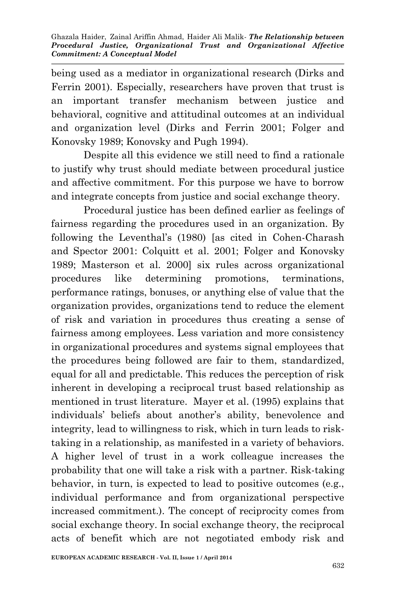being used as a mediator in organizational research (Dirks and Ferrin 2001). Especially, researchers have proven that trust is an important transfer mechanism between justice and behavioral, cognitive and attitudinal outcomes at an individual and organization level (Dirks and Ferrin 2001; Folger and Konovsky 1989; Konovsky and Pugh 1994).

Despite all this evidence we still need to find a rationale to justify why trust should mediate between procedural justice and affective commitment. For this purpose we have to borrow and integrate concepts from justice and social exchange theory.

Procedural justice has been defined earlier as feelings of fairness regarding the procedures used in an organization. By following the Leventhal's (1980) [as cited in Cohen-Charash and Spector 2001: Colquitt et al. 2001; Folger and Konovsky 1989; Masterson et al. 2000] six rules across organizational procedures like determining promotions, terminations, performance ratings, bonuses, or anything else of value that the organization provides, organizations tend to reduce the element of risk and variation in procedures thus creating a sense of fairness among employees. Less variation and more consistency in organizational procedures and systems signal employees that the procedures being followed are fair to them, standardized, equal for all and predictable. This reduces the perception of risk inherent in developing a reciprocal trust based relationship as mentioned in trust literature. Mayer et al. (1995) explains that individuals' beliefs about another's ability, benevolence and integrity, lead to willingness to risk, which in turn leads to risktaking in a relationship, as manifested in a variety of behaviors. A higher level of trust in a work colleague increases the probability that one will take a risk with a partner. Risk-taking behavior, in turn, is expected to lead to positive outcomes (e.g., individual performance and from organizational perspective increased commitment.). The concept of reciprocity comes from social exchange theory. In social exchange theory, the reciprocal acts of benefit which are not negotiated embody risk and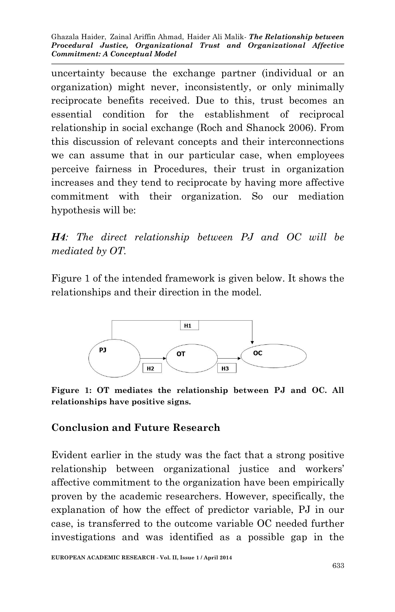Ghazala Haider, Zainal Ariffin Ahmad, Haider Ali Malik*- The Relationship between Procedural Justice, Organizational Trust and Organizational Affective Commitment: A Conceptual Model*

uncertainty because the exchange partner (individual or an organization) might never, inconsistently, or only minimally reciprocate benefits received. Due to this, trust becomes an essential condition for the establishment of reciprocal relationship in social exchange (Roch and Shanock 2006). From this discussion of relevant concepts and their interconnections we can assume that in our particular case, when employees perceive fairness in Procedures, their trust in organization increases and they tend to reciprocate by having more affective commitment with their organization. So our mediation hypothesis will be:

*H4: The direct relationship between PJ and OC will be mediated by OT.*

Figure 1 of the intended framework is given below. It shows the relationships and their direction in the model.



**Figure 1: OT mediates the relationship between PJ and OC. All relationships have positive signs.**

#### **Conclusion and Future Research**

Evident earlier in the study was the fact that a strong positive relationship between organizational justice and workers' affective commitment to the organization have been empirically proven by the academic researchers. However, specifically, the explanation of how the effect of predictor variable, PJ in our case, is transferred to the outcome variable OC needed further investigations and was identified as a possible gap in the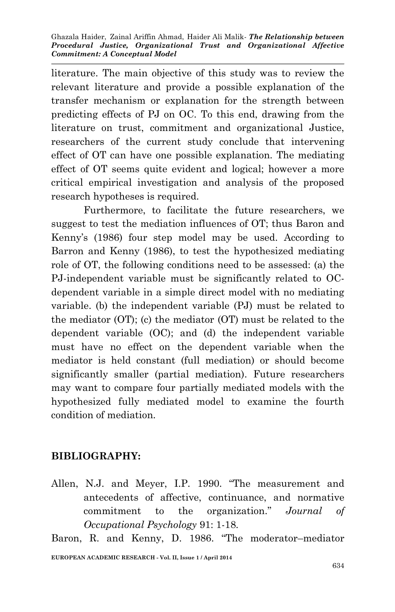literature. The main objective of this study was to review the relevant literature and provide a possible explanation of the transfer mechanism or explanation for the strength between predicting effects of PJ on OC. To this end, drawing from the literature on trust, commitment and organizational Justice, researchers of the current study conclude that intervening effect of OT can have one possible explanation. The mediating effect of OT seems quite evident and logical; however a more critical empirical investigation and analysis of the proposed research hypotheses is required.

Furthermore, to facilitate the future researchers, we suggest to test the mediation influences of OT; thus Baron and Kenny's (1986) four step model may be used. According to Barron and Kenny (1986), to test the hypothesized mediating role of OT, the following conditions need to be assessed: (a) the PJ-independent variable must be significantly related to OCdependent variable in a simple direct model with no mediating variable. (b) the independent variable (PJ) must be related to the mediator (OT); (c) the mediator (OT) must be related to the dependent variable (OC); and (d) the independent variable must have no effect on the dependent variable when the mediator is held constant (full mediation) or should become significantly smaller (partial mediation). Future researchers may want to compare four partially mediated models with the hypothesized fully mediated model to examine the fourth condition of mediation.

## **BIBLIOGRAPHY:**

Allen, N.J. and Meyer, I.P. 1990. "The measurement and antecedents of affective, continuance, and normative commitment to the organization." *Journal of Occupational Psychology* 91: 1-18.

**EUROPEAN ACADEMIC RESEARCH - Vol. II, Issue 1 / April 2014** Baron, R. and Kenny, D. 1986. "The moderator–mediator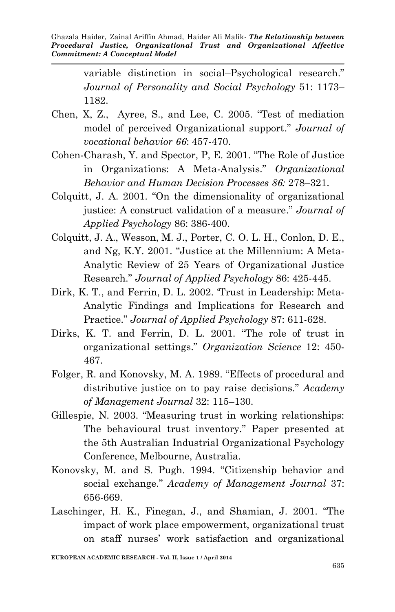variable distinction in social–Psychological research." *Journal of Personality and Social Psychology* 51: 1173– 1182.

- Chen, X, Z., Ayree, S., and Lee, C. 2005. "Test of mediation model of perceived Organizational support." *Journal of vocational behavior 66*: 457-470.
- Cohen-Charash, Y. and Spector, P, E. 2001. "The Role of Justice in Organizations: A Meta-Analysis." *Organizational Behavior and Human Decision Processes 86:* 278–321.
- Colquitt, J. A. 2001. "On the dimensionality of organizational justice: A construct validation of a measure." *Journal of Applied Psychology* 86: 386-400.
- Colquitt, J. A., Wesson, M. J., Porter, C. O. L. H., Conlon, D. E., and Ng, K.Y. 2001. "Justice at the Millennium: A Meta-Analytic Review of 25 Years of Organizational Justice Research." *Journal of Applied Psychology* 86: 425-445.
- Dirk, K. T., and Ferrin, D. L. 2002. 'Trust in Leadership: Meta-Analytic Findings and Implications for Research and Practice." *Journal of Applied Psychology* 87: 611-628.
- Dirks, K. T. and Ferrin, D. L. 2001. "The role of trust in organizational settings." *Organization Science* 12: 450- 467.
- Folger, R. and Konovsky, M. A. 1989. "Effects of procedural and distributive justice on to pay raise decisions." *Academy of Management Journal* 32: 115–130.
- Gillespie, N. 2003. "Measuring trust in working relationships: The behavioural trust inventory." Paper presented at the 5th Australian Industrial Organizational Psychology Conference, Melbourne, Australia.
- Konovsky, M. and S. Pugh. 1994. "Citizenship behavior and social exchange." *Academy of Management Journal* 37: 656-669.
- Laschinger, H. K., Finegan, J., and Shamian, J. 2001. "The impact of work place empowerment, organizational trust on staff nurses' work satisfaction and organizational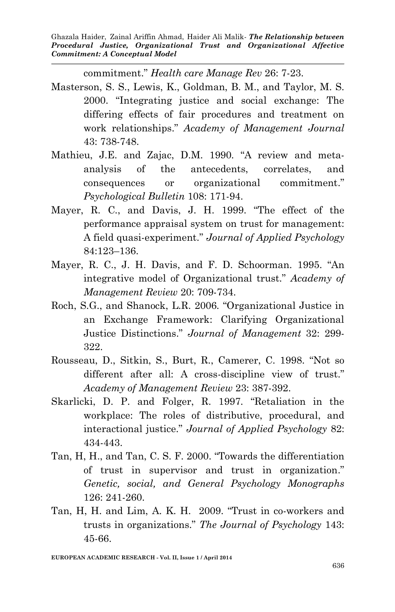commitment." *Health care Manage Rev* 26: 7-23.

- Masterson, S. S., Lewis, K., Goldman, B. M., and Taylor, M. S. 2000. "Integrating justice and social exchange: The differing effects of fair procedures and treatment on work relationships." *Academy of Management Journal* 43: 738-748.
- Mathieu, J.E. and Zajac, D.M. 1990. "A review and metaanalysis of the antecedents, correlates, and consequences or organizational commitment." *Psychological Bulletin* 108: 171-94.
- Mayer, R. C., and Davis, J. H. 1999. "The effect of the performance appraisal system on trust for management: A field quasi-experiment." *Journal of Applied Psychology*  84:123–136.
- Mayer, R. C., J. H. Davis, and F. D. Schoorman. 1995. "An integrative model of Organizational trust." *Academy of Management Review* 20: 709-734.
- Roch, S.G., and Shanock, L.R. 2006. "Organizational Justice in an Exchange Framework: Clarifying Organizational Justice Distinctions." *Journal of Management* 32: 299- 322.
- Rousseau, D., Sitkin, S., Burt, R., Camerer, C. 1998. "Not so different after all: A cross-discipline view of trust." *Academy of Management Review* 23: 387-392.
- Skarlicki, D. P. and Folger, R. 1997. "Retaliation in the workplace: The roles of distributive, procedural, and interactional justice." *Journal of Applied Psychology* 82: 434-443.
- Tan, H, H., and Tan, C. S. F. 2000. "Towards the differentiation of trust in supervisor and trust in organization." *Genetic, social, and General Psychology Monographs*  126: 241-260.
- Tan, H, H. and Lim, A. K. H. 2009. "Trust in co-workers and trusts in organizations." *The Journal of Psychology* 143: 45-66.